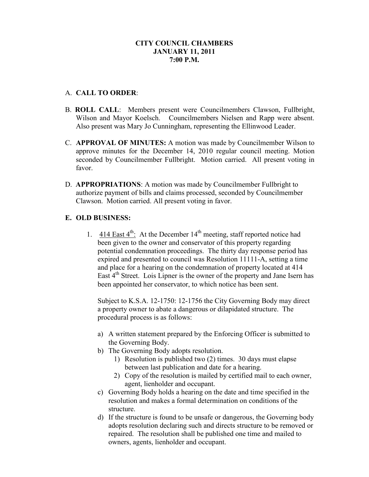# **CITY COUNCIL CHAMBERS JANUARY 11, 2011 7:00 P.M.**

# A. **CALL TO ORDER**:

- B. **ROLL CALL**: Members present were Councilmembers Clawson, Fullbright, Wilson and Mayor Koelsch. Councilmembers Nielsen and Rapp were absent. Also present was Mary Jo Cunningham, representing the Ellinwood Leader.
- C. **APPROVAL OF MINUTES:** A motion was made by Councilmember Wilson to approve minutes for the December 14, 2010 regular council meeting. Motion seconded by Councilmember Fullbright. Motion carried. All present voting in favor.
- D. **APPROPRIATIONS**: A motion was made by Councilmember Fullbright to authorize payment of bills and claims processed, seconded by Councilmember Clawson. Motion carried. All present voting in favor.

# **E. OLD BUSINESS:**

1.  $414$  East  $4^{\text{th}}$ : At the December 14<sup>th</sup> meeting, staff reported notice had been given to the owner and conservator of this property regarding potential condemnation proceedings. The thirty day response period has expired and presented to council was Resolution 11111-A, setting a time and place for a hearing on the condemnation of property located at 414 East 4<sup>th</sup> Street. Lois Lipner is the owner of the property and Jane Isern has been appointed her conservator, to which notice has been sent.

Subject to K.S.A. 12-1750: 12-1756 the City Governing Body may direct a property owner to abate a dangerous or dilapidated structure. The procedural process is as follows:

- a) A written statement prepared by the Enforcing Officer is submitted to the Governing Body.
- b) The Governing Body adopts resolution.
	- 1) Resolution is published two (2) times. 30 days must elapse between last publication and date for a hearing.
	- 2) Copy of the resolution is mailed by certified mail to each owner, agent, lienholder and occupant.
- c) Governing Body holds a hearing on the date and time specified in the resolution and makes a formal determination on conditions of the structure.
- d) If the structure is found to be unsafe or dangerous, the Governing body adopts resolution declaring such and directs structure to be removed or repaired. The resolution shall be published one time and mailed to owners, agents, lienholder and occupant.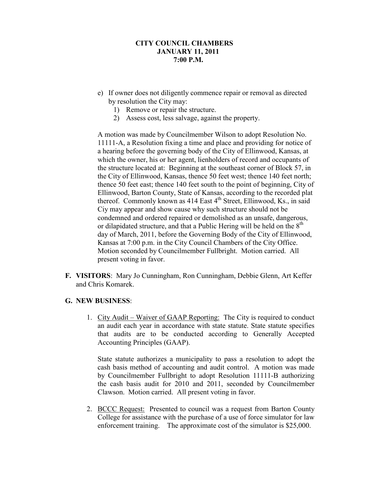# **CITY COUNCIL CHAMBERS JANUARY 11, 2011 7:00 P.M.**

- e) If owner does not diligently commence repair or removal as directed by resolution the City may:
	- 1) Remove or repair the structure.
	- 2) Assess cost, less salvage, against the property.

A motion was made by Councilmember Wilson to adopt Resolution No. 11111-A, a Resolution fixing a time and place and providing for notice of a hearing before the governing body of the City of Ellinwood, Kansas, at which the owner, his or her agent, lienholders of record and occupants of the structure located at: Beginning at the southeast corner of Block 57, in the City of Ellinwood, Kansas, thence 50 feet west; thence 140 feet north; thence 50 feet east; thence 140 feet south to the point of beginning, City of Ellinwood, Barton County, State of Kansas, according to the recorded plat thereof. Commonly known as 414 East  $4<sup>th</sup>$  Street, Ellinwood, Ks., in said Ciy may appear and show cause why such structure should not be condemned and ordered repaired or demolished as an unsafe, dangerous, or dilapidated structure, and that a Public Hering will be held on the  $8<sup>th</sup>$ day of March, 2011, before the Governing Body of the City of Ellinwood, Kansas at 7:00 p.m. in the City Council Chambers of the City Office. Motion seconded by Councilmember Fullbright. Motion carried. All present voting in favor.

**F. VISITORS**: Mary Jo Cunningham, Ron Cunningham, Debbie Glenn, Art Keffer and Chris Komarek.

## **G. NEW BUSINESS**:

1. City Audit – Waiver of GAAP Reporting: The City is required to conduct an audit each year in accordance with state statute. State statute specifies that audits are to be conducted according to Generally Accepted Accounting Principles (GAAP).

State statute authorizes a municipality to pass a resolution to adopt the cash basis method of accounting and audit control. A motion was made by Councilmember Fullbright to adopt Resolution 11111-B authorizing the cash basis audit for 2010 and 2011, seconded by Councilmember Clawson. Motion carried. All present voting in favor.

2. BCCC Request: Presented to council was a request from Barton County College for assistance with the purchase of a use of force simulator for law enforcement training. The approximate cost of the simulator is \$25,000.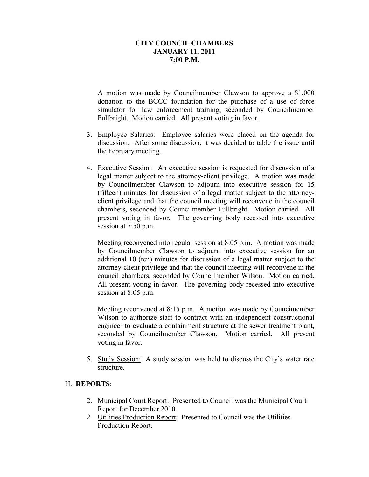## **CITY COUNCIL CHAMBERS JANUARY 11, 2011 7:00 P.M.**

A motion was made by Councilmember Clawson to approve a \$1,000 donation to the BCCC foundation for the purchase of a use of force simulator for law enforcement training, seconded by Councilmember Fullbright. Motion carried. All present voting in favor.

- 3. Employee Salaries: Employee salaries were placed on the agenda for discussion. After some discussion, it was decided to table the issue until the February meeting.
- 4. Executive Session: An executive session is requested for discussion of a legal matter subject to the attorney-client privilege. A motion was made by Councilmember Clawson to adjourn into executive session for 15 (fifteen) minutes for discussion of a legal matter subject to the attorneyclient privilege and that the council meeting will reconvene in the council chambers, seconded by Councilmember Fullbright. Motion carried. All present voting in favor. The governing body recessed into executive session at 7:50 p.m.

Meeting reconvened into regular session at 8:05 p.m. A motion was made by Councilmember Clawson to adjourn into executive session for an additional 10 (ten) minutes for discussion of a legal matter subject to the attorney-client privilege and that the council meeting will reconvene in the council chambers, seconded by Councilmember Wilson. Motion carried. All present voting in favor. The governing body recessed into executive session at 8:05 p.m.

Meeting reconvened at 8:15 p.m. A motion was made by Councimember Wilson to authorize staff to contract with an independent constructional engineer to evaluate a containment structure at the sewer treatment plant, seconded by Councilmember Clawson. Motion carried. All present voting in favor.

5. Study Session: A study session was held to discuss the City's water rate structure.

## H. **REPORTS**:

- 2. Municipal Court Report: Presented to Council was the Municipal Court Report for December 2010.
- 2 Utilities Production Report: Presented to Council was the Utilities Production Report.